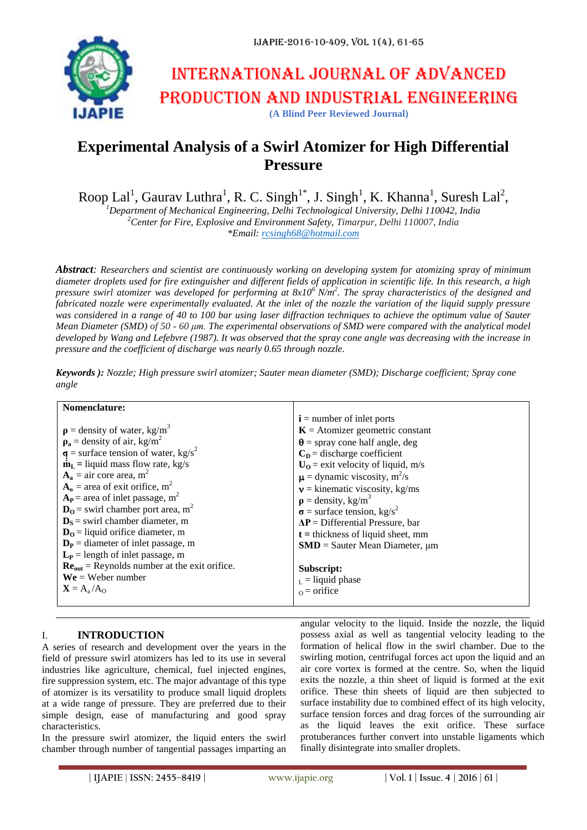

# International journal of advanced production and industrial engineering **(A Blind Peer Reviewed Journal)**

## **Experimental Analysis of a Swirl Atomizer for High Differential Pressure**

Roop Lal<sup>1</sup>, Gaurav Luthra<sup>1</sup>, R. C. Singh<sup>1\*</sup>, J. Singh<sup>1</sup>, K. Khanna<sup>1</sup>, Suresh Lal<sup>2</sup>, *<sup>1</sup>Department of Mechanical Engineering, Delhi Technological University, Delhi 110042, India*

*<sup>2</sup>Center for Fire, Explosive and Environment Safety, Timarpur, Delhi 110007, India \*Email[: rcsingh68@hotmail.com](mailto:rcsingh68@hotmail.com)*

*Abstract: Researchers and scientist are continuously working on developing system for atomizing spray of minimum diameter droplets used for fire extinguisher and different fields of application in scientific life. In this research, a high pressure swirl atomizer was developed for performing at 8x10<sup>6</sup>N/m<sup>2</sup> . The spray characteristics of the designed and fabricated nozzle were experimentally evaluated. At the inlet of the nozzle the variation of the liquid supply pressure was considered in a range of 40 to 100 bar using laser diffraction techniques to achieve the optimum value of Sauter Mean Diameter (SMD) of 50 - 60 μm. The experimental observations of SMD were compared with the analytical model developed by Wang and Lefebvre (1987). It was observed that the spray cone angle was decreasing with the increase in pressure and the coefficient of discharge was nearly 0.65 through nozzle.*

| Nomenclature:                                                 |                                               |
|---------------------------------------------------------------|-----------------------------------------------|
|                                                               | $\mathbf{i}$ = number of inlet ports          |
| $\rho$ = density of water, kg/m <sup>3</sup>                  | $K =$ Atomizer geometric constant             |
| $\rho_a$ = density of air, kg/m <sup>2</sup>                  | $\theta$ = spray cone half angle, deg         |
| $\sigma$ = surface tension of water, kg/s <sup>2</sup>        | $CD$ = discharge coefficient                  |
| $\dot{\mathbf{m}}_{\mathbf{L}}$ = liquid mass flow rate, kg/s | $U_0$ = exit velocity of liquid, m/s          |
| $A_a$ = air core area, m <sup>2</sup>                         | $\mu$ = dynamic viscosity, m <sup>2</sup> /s  |
| $A_0$ = area of exit orifice, m <sup>2</sup>                  | $v =$ kinematic viscosity, kg/ms              |
| $A_P$ = area of inlet passage, m <sup>2</sup>                 | $\rho =$ density, kg/m <sup>3</sup>           |
| $D0$ = swirl chamber port area, m <sup>2</sup>                | $\sigma$ = surface tension, kg/s <sup>2</sup> |
| $DS$ = swirl chamber diameter, m                              | $\Delta P$ = Differential Pressure, bar       |
| $D0$ = liquid orifice diameter, m                             | $t =$ thickness of liquid sheet, mm           |
| $D_P$ = diameter of inlet passage, m                          | $SMD = S$ auter Mean Diameter, $\mu$ m        |
| $L_P$ = length of inlet passage, m                            |                                               |
| $\text{Re}_{out}$ = Reynolds number at the exit orifice.      | Subscript:                                    |
| $We = Weber number$                                           | $_{\rm L}$ = liquid phase                     |
| $X = A_a / A_O$                                               | $_0$ = orifice                                |
|                                                               |                                               |

*Keywords ): Nozzle; High pressure swirl atomizer; Sauter mean diameter (SMD); Discharge coefficient; Spray cone angle*

## I. **INTRODUCTION**

A series of research and development over the years in the field of pressure swirl atomizers has led to its use in several industries like agriculture, chemical, fuel injected engines, fire suppression system, etc. The major advantage of this type of atomizer is its versatility to produce small liquid droplets at a wide range of pressure. They are preferred due to their simple design, ease of manufacturing and good spray characteristics.

In the pressure swirl atomizer, the liquid enters the swirl chamber through number of tangential passages imparting an

angular velocity to the liquid. Inside the nozzle, the liquid possess axial as well as tangential velocity leading to the formation of helical flow in the swirl chamber. Due to the swirling motion, centrifugal forces act upon the liquid and an air core vortex is formed at the centre. So, when the liquid exits the nozzle, a thin sheet of liquid is formed at the exit orifice. These thin sheets of liquid are then subjected to surface instability due to combined effect of its high velocity, surface tension forces and drag forces of the surrounding air as the liquid leaves the exit orifice. These surface protuberances further convert into unstable ligaments which finally disintegrate into smaller droplets.

**| IJAPIE** | **ISSN: 2455–8419 | www.ijapie.org | Vol. 1 | Issue. 4 | 2016 | 61 |**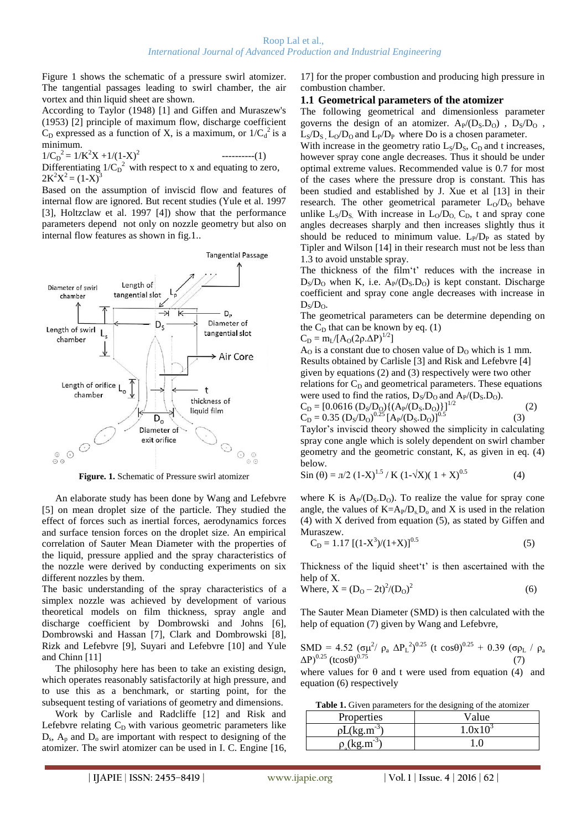Figure 1 shows the schematic of a pressure swirl atomizer. The tangential passages leading to swirl chamber, the air vortex and thin liquid sheet are shown.

According to Taylor (1948) [1] and Giffen and Muraszew's (1953) [2] principle of maximum flow, discharge coefficient  $C_D$  expressed as a function of X, is a maximum, or  $1/C_d^2$  is a minimum.

 $1/C_D^2 = 1/K^2X + 1/(1-X)^2$ ----------(1) Differentiating  $1/C_D^2$  with respect to x and equating to zero,  $2K^2X^2 = (1-X)^3$ 

Based on the assumption of inviscid flow and features of internal flow are ignored. But recent studies (Yule et al. 1997 [3], Holtzclaw et al. 1997 [4]) show that the performance parameters depend not only on nozzle geometry but also on internal flow features as shown in fig.1..



**Figure. 1.** Schematic of Pressure swirl atomizer

An elaborate study has been done by Wang and Lefebvre [5] on mean droplet size of the particle. They studied the effect of forces such as inertial forces, aerodynamics forces and surface tension forces on the droplet size. An empirical correlation of Sauter Mean Diameter with the properties of the liquid, pressure applied and the spray characteristics of the nozzle were derived by conducting experiments on six different nozzles by them.

The basic understanding of the spray characteristics of a simplex nozzle was achieved by development of various theoretical models on film thickness, spray angle and discharge coefficient by Dombrowski and Johns [6], Dombrowski and Hassan [7], Clark and Dombrowski [8], Rizk and Lefebvre [9], Suyari and Lefebvre [10] and Yule and Chinn [11]

The philosophy here has been to take an existing design, which operates reasonably satisfactorily at high pressure, and to use this as a benchmark, or starting point, for the subsequent testing of variations of geometry and dimensions.

Work by Carlisle and Radcliffe [12] and Risk and Lefebvre relating  $C_D$  with various geometric parameters like  $D_s$ ,  $A_p$  and  $D_o$  are important with respect to designing of the atomizer. The swirl atomizer can be used in I. C. Engine [16,

17] for the proper combustion and producing high pressure in combustion chamber.

### **1.1 Geometrical parameters of the atomizer**

The following geometrical and dimensionless parameter governs the design of an atomizer.  $A_P/(D_S.D_O)$ ,  $D_S/D_O$ ,  $L_S/D_S$ ,  $L_O/D_O$  and  $L_P/D_P$  where Do is a chosen parameter.

With increase in the geometry ratio  $L<sub>S</sub>/D<sub>S</sub>$ ,  $C<sub>D</sub>$  and t increases, however spray cone angle decreases. Thus it should be under optimal extreme values. Recommended value is 0.7 for most of the cases where the pressure drop is constant. This has been studied and established by J. Xue et al [13] in their research. The other geometrical parameter  $L_0/D_0$  behave unlike  $L_S/D_S$ . With increase in  $L_O/D_O$ ,  $C_D$ , t and spray cone angles decreases sharply and then increases slightly thus it should be reduced to minimum value.  $L_P/D_P$  as stated by Tipler and Wilson [14] in their research must not be less than 1.3 to avoid unstable spray.

The thickness of the film't' reduces with the increase in  $D_S/D_O$  when K, i.e.  $A_P/(D_S,D_O)$  is kept constant. Discharge coefficient and spray cone angle decreases with increase in  $D_s/D_o$ .

The geometrical parameters can be determine depending on the  $C_D$  that can be known by eq. (1)

$$
C_D = m_L / [A_O(2\rho.\Delta P)^{1/2}]
$$

 $A<sub>0</sub>$  is a constant due to chosen value of  $D<sub>0</sub>$  which is 1 mm. Results obtained by Carlisle [3] and Risk and Lefebvre [4] given by equations (2) and (3) respectively were two other relations for  $C_D$  and geometrical parameters. These equations were used to find the ratios,  $D_S/D_O$  and  $A_P/(D_S.D_O)$ .

$$
C_D = [0.0616 (D_S/D_O)\{(A_P/(D_S.D_O)\})]^{1/2}
$$
\n
$$
C_D = 0.35 (D_S/D_O)^{0.25} [A_P/(D_S.D_O)]^{0.5}
$$
\n(2)

Taylor's inviscid theory showed the simplicity in calculating spray cone angle which is solely dependent on swirl chamber geometry and the geometric constant, K, as given in eq. (4) below.

$$
\sin(\theta) = \pi/2 (1-X)^{1.5} / K (1-\sqrt{X})(1+X)^{0.5}
$$
 (4)

where K is  $A_P/(D_S, D_O)$ . To realize the value for spray cone angle, the values of  $K=A_P/D_sD_o$  and X is used in the relation (4) with X derived from equation (5), as stated by Giffen and Muraszew.

$$
C_D = 1.17 [(1-X^3)/(1+X)]^{0.5}
$$
 (5)

Thickness of the liquid sheet't' is then ascertained with the help of X.

Where, 
$$
X = (D_0 - 2t)^2/(D_0)^2
$$
 (6)

The Sauter Mean Diameter (SMD) is then calculated with the help of equation (7) given by Wang and Lefebvre,

$$
SMD = 4.52 (σμ2/ρa ΔPL2)0.25 (t cos θ)0.25 + 0.39 (σρL / ρa ΔP)0.25 (t cos θ)0.75
$$
\n(7)

where values for  $\theta$  and t were used from equation (4) and equation (6) respectively

**Table 1.** Given parameters for the designing of the atomizer

| Properties | /alue        |  |
|------------|--------------|--|
|            | $\Omega$ v 1 |  |
| . د-       |              |  |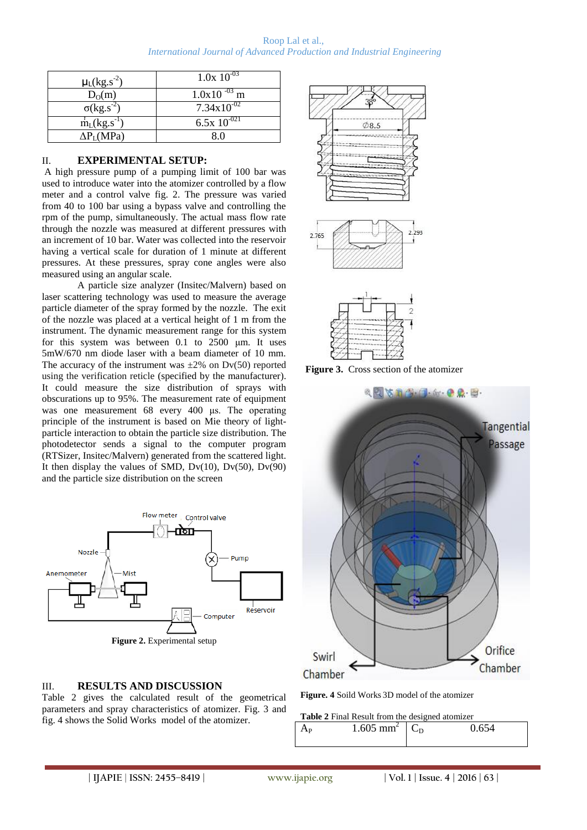Roop Lal et al., *International Journal of Advanced Production and Industrial Engineering*

| $\mu$ <sub>L</sub> (kg.s <sup>-2</sup> ) | $1.0x\ 10^{-03}$       |  |  |
|------------------------------------------|------------------------|--|--|
| $D_0(m)$                                 | $1.0x10^{-03}$ m       |  |  |
| $\overline{\sigma(kg.s^2)}$              | $7.34 \times 10^{-02}$ |  |  |
| $\dot{m}_L(kg.s^{-1})$                   | 6.5x $10^{-021}$       |  |  |
| $\Delta P_{\rm L}(\text{MPa})$           | 8 U                    |  |  |

### II. **EXPERIMENTAL SETUP:**

A high pressure pump of a pumping limit of 100 bar was used to introduce water into the atomizer controlled by a flow meter and a control valve fig. 2. The pressure was varied from 40 to 100 bar using a bypass valve and controlling the rpm of the pump, simultaneously. The actual mass flow rate through the nozzle was measured at different pressures with an increment of 10 bar. Water was collected into the reservoir having a vertical scale for duration of 1 minute at different pressures. At these pressures, spray cone angles were also measured using an angular scale.

A particle size analyzer (Insitec/Malvern) based on laser scattering technology was used to measure the average particle diameter of the spray formed by the nozzle. The exit of the nozzle was placed at a vertical height of 1 m from the instrument. The dynamic measurement range for this system for this system was between 0.1 to 2500 μm. It uses 5mW/670 nm diode laser with a beam diameter of 10 mm. The accuracy of the instrument was  $\pm 2\%$  on Dv(50) reported using the verification reticle (specified by the manufacturer). It could measure the size distribution of sprays with obscurations up to 95%. The measurement rate of equipment was one measurement 68 every 400 μs. The operating principle of the instrument is based on Mie theory of lightparticle interaction to obtain the particle size distribution. The photodetector sends a signal to the computer program (RTSizer, Insitec/Malvern) generated from the scattered light. It then display the values of SMD,  $Dv(10)$ ,  $Dv(50)$ ,  $Dv(90)$ and the particle size distribution on the screen



#### III. **RESULTS AND DISCUSSION**

Table 2 gives the calculated result of the geometrical parameters and spray characteristics of atomizer. Fig. 3 and fig. 4 shows the Solid Works model of the atomizer.







**Figure. 4** Soild Works 3D model of the atomizer

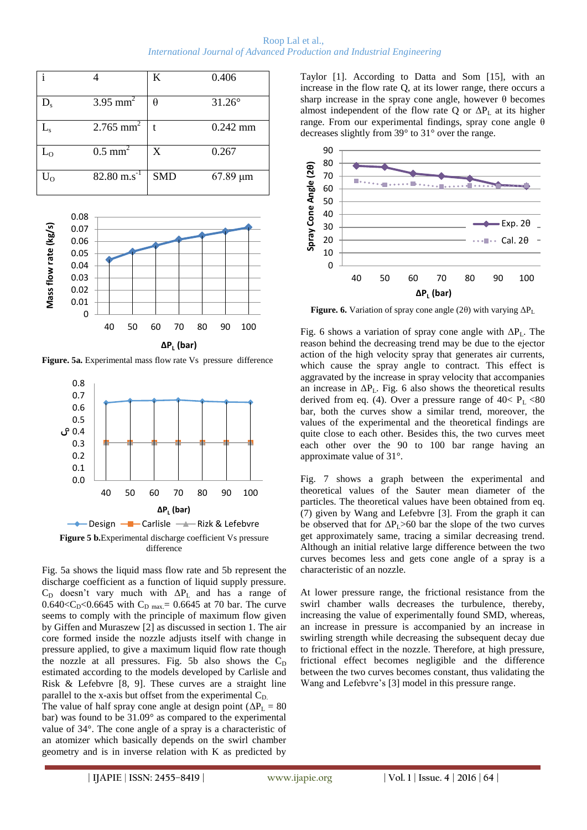|                           |                          | K          | 0.406         |
|---------------------------|--------------------------|------------|---------------|
| $\mathbf{D}_{\mathrm{s}}$ | $3.95$ mm <sup>2</sup>   | θ          | $31.26^\circ$ |
| $\rm L_s$                 | $2.765$ mm <sup>2</sup>  |            | $0.242$ mm    |
| $\mathsf{L}_\mathsf{O}$   | $0.5$ mm <sup>2</sup>    | X          | 0.267         |
| $\rm U_{O}$               | $82.80 \text{ m.s}^{-1}$ | <b>SMD</b> | $67.89 \mu m$ |



**Figure. 5a.** Experimental mass flow rate Vs pressure difference



Fig. 5a shows the liquid mass flow rate and 5b represent the discharge coefficient as a function of liquid supply pressure.  $C_D$  doesn't vary much with  $\Delta P_L$  and has a range of 0.640<C<sub>D</sub><0.6645 with C<sub>D max</sub> = 0.6645 at 70 bar. The curve seems to comply with the principle of maximum flow given by Giffen and Muraszew [2] as discussed in section 1. The air core formed inside the nozzle adjusts itself with change in pressure applied, to give a maximum liquid flow rate though the nozzle at all pressures. Fig. 5b also shows the  $C_D$ estimated according to the models developed by Carlisle and Risk & Lefebvre [8, 9]. These curves are a straight line parallel to the x-axis but offset from the experimental  $C_{D}$ . The value of half spray cone angle at design point ( $\Delta P_L = 80$ bar) was found to be 31.09° as compared to the experimental value of 34°. The cone angle of a spray is a characteristic of an atomizer which basically depends on the swirl chamber

geometry and is in inverse relation with K as predicted by

Taylor [1]. According to Datta and Som [15], with an increase in the flow rate Q, at its lower range, there occurs a sharp increase in the spray cone angle, however  $\theta$  becomes almost independent of the flow rate Q or  $\Delta P_L$  at its higher range. From our experimental findings, spray cone angle θ decreases slightly from 39° to 31° over the range.



**Figure. 6.** Variation of spray cone angle (2θ) with varying  $\Delta P_L$ 

Fig. 6 shows a variation of spray cone angle with  $\Delta P_L$ . The reason behind the decreasing trend may be due to the ejector action of the high velocity spray that generates air currents, which cause the spray angle to contract. This effect is aggravated by the increase in spray velocity that accompanies an increase in  $\Delta P_L$ . Fig. 6 also shows the theoretical results derived from eq. (4). Over a pressure range of  $40 < P<sub>L</sub> < 80$ bar, both the curves show a similar trend, moreover, the values of the experimental and the theoretical findings are quite close to each other. Besides this, the two curves meet each other over the 90 to 100 bar range having an approximate value of 31°.

Fig. 7 shows a graph between the experimental and theoretical values of the Sauter mean diameter of the particles. The theoretical values have been obtained from eq. (7) given by Wang and Lefebvre [3]. From the graph it can be observed that for  $\Delta P_L > 60$  bar the slope of the two curves get approximately same, tracing a similar decreasing trend. Although an initial relative large difference between the two curves becomes less and gets cone angle of a spray is a characteristic of an nozzle.

At lower pressure range, the frictional resistance from the swirl chamber walls decreases the turbulence, thereby, increasing the value of experimentally found SMD, whereas, an increase in pressure is accompanied by an increase in swirling strength while decreasing the subsequent decay due to frictional effect in the nozzle. Therefore, at high pressure, frictional effect becomes negligible and the difference between the two curves becomes constant, thus validating the Wang and Lefebvre's [3] model in this pressure range.